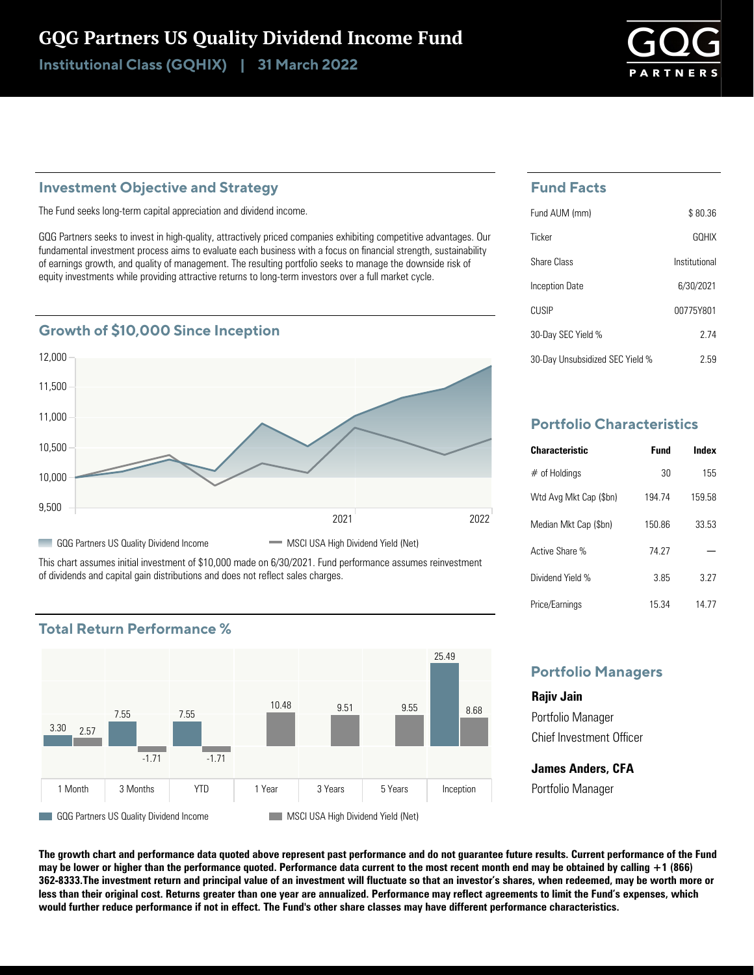# GQG Partners US Quality Dividend Income Fund

Institutional Class (GQHIX) | 31 March 2022

## **Investment Objective and Strategy**

The Fund seeks long-term capital appreciation and dividend income.

GQG Partners seeks to invest in high-quality, attractively priced companies exhibiting competitive advantages. Our fundamental investment process aims to evaluate each business with a focus on financial strength, sustainability of earnings growth, and quality of management. The resulting portfolio seeks to manage the downside risk of equity investments while providing attractive returns to long-term investors over a full market cycle.



This chart assumes initial investment of \$10,000 made on 6/30/2021. Fund performance assumes reinvestment of dividends and capital gain distributions and does not reflect sales charges.



## **Total Return Performance %**

# **Fund Facts**

| Fund AUM (mm)                   | \$80.36       |
|---------------------------------|---------------|
| Ticker                          | <b>GOHIX</b>  |
| Share Class                     | Institutional |
| <b>Inception Date</b>           | 6/30/2021     |
| CUSIP                           | 00775Y801     |
| 30-Day SEC Yield %              | 2 74          |
| 30-Day Unsubsidized SEC Yield % | 2.59          |

# **Portfolio Characteristics**

| <b>Characteristic</b>  | Fund   | Index  |
|------------------------|--------|--------|
| $#$ of Holdings        | 30     | 155    |
| Wtd Avg Mkt Cap (\$bn) | 194 74 | 159 58 |
| Median Mkt Cap (\$bn)  | 15086  | 33.53  |
| Active Share %         | 74 27  |        |
| Dividend Yield %       | 385    | 3 27   |
| Price/Earnings         | 15.34  | 14 77  |

## **Portfolio Managers**

**Rajiv Jain** Portfolio Manager Chief Investment Officer

**James Anders, CFA** Portfolio Manager

**The growth chart and performance data quoted above represent past performance and do not guarantee future results. Current performance of the Fund may be lower or higher than the performance quoted. Performance data current to the most recent month end may be obtained by calling +1 (866) 362-8333.The investment return and principal value of an investment will fluctuate so that an investor's shares, when redeemed, may be worth more or less than their original cost. Returns greater than one year are annualized. Performance may reflect agreements to limit the Fund's expenses, which would further reduce performance if not in effect. The Fund's other share classes may have different performance characteristics.**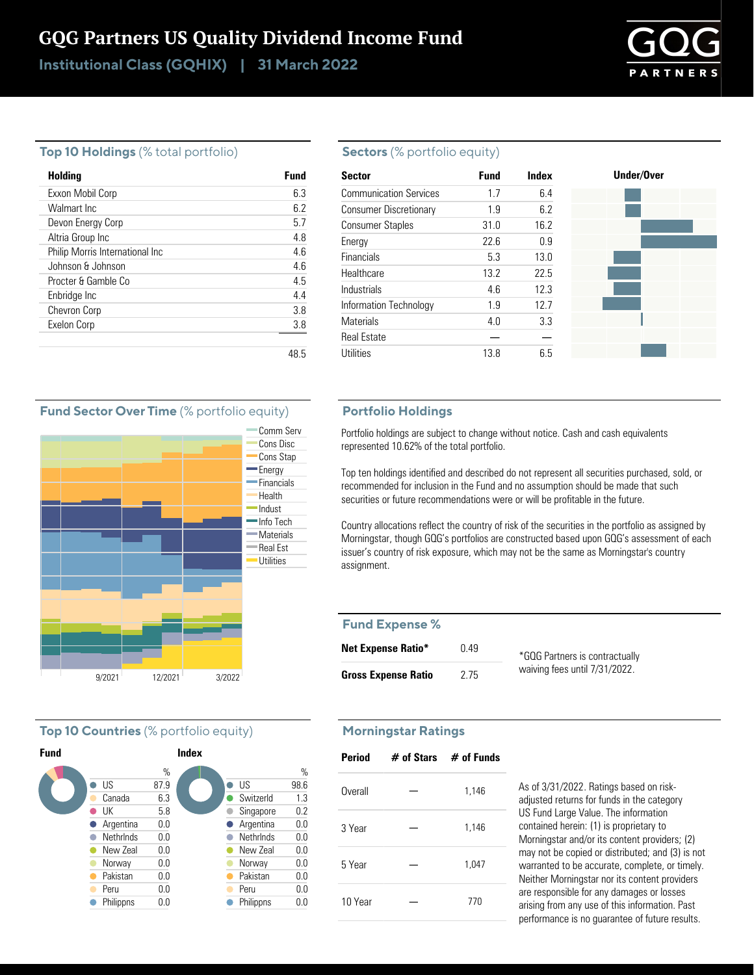# GQG Partners US Quality Dividend Income Fund

Institutional Class (GQHIX) | 31 March 2022



#### **Top 10 Holdings** (% total portfolio)

| <b>Holding</b>                  | Fund |
|---------------------------------|------|
| Exxon Mobil Corp                | 63   |
| Walmart Inc.                    | 62   |
| Devon Energy Corp               | 5.7  |
| Altria Group Inc                | 4.8  |
| Philip Morris International Inc | 4.6  |
| Johnson & Johnson               | 46   |
| Procter & Gamble Co.            | 4.5  |
| Enbridge Inc                    | 44   |
| <b>Chevron Corp</b>             | 3.8  |
| Exelon Corp                     | 3.8  |
|                                 |      |
|                                 | 48.5 |

#### **Sectors** (% portfolio equity)

| <b>Sector</b>                 | <b>Fund</b> | Index | Under/Over |
|-------------------------------|-------------|-------|------------|
| <b>Communication Services</b> | 1.7         | 6.4   |            |
| <b>Consumer Discretionary</b> | 1.9         | 6.2   |            |
| <b>Consumer Staples</b>       | 31.0        | 16.2  |            |
| Energy                        | 22.6        | 0.9   |            |
| Financials                    | 5.3         | 13.0  |            |
| Healthcare                    | 13.2        | 22.5  |            |
| Industrials                   | 4.6         | 12.3  |            |
| Information Technology        | 1.9         | 12.7  |            |
| <b>Materials</b>              | 4.0         | 3.3   |            |
| <b>Real Estate</b>            |             |       |            |
| <b>Utilities</b>              | 13.8        | 6.5   |            |

#### **Fund Sector Over Time** (% portfolio equity)



### **Top 10 Countries** (% portfolio equity)



#### **Portfolio Holdings**

Portfolio holdings are subject to change without notice. Cash and cash equivalents represented 10.62% of the total portfolio.

Top ten holdings identified and described do not represent all securities purchased, sold, or recommended for inclusion in the Fund and no assumption should be made that such securities or future recommendations were or will be profitable in the future.

Country allocations reflect the country of risk of the securities in the portfolio as assigned by Morningstar, though GQG's portfolios are constructed based upon GQG's assessment of each issuer's country of risk exposure, which may not be the same as Morningstar's country assignment.

#### **Fund Expense %**

| <b>Net Expense Ratio*</b>  | በ 49 | *GQG Partners is contractually |
|----------------------------|------|--------------------------------|
| <b>Gross Expense Ratio</b> | 2.75 | waiving fees until 7/31/2022.  |

#### **Morningstar Ratings**

| <b>Period</b> | $#$ of Stars $#$ of Funds |
|---------------|---------------------------|
| Overall       | 1,146                     |
| 3 Year        | 1,146                     |
| 5 Year        | 1,047                     |
| 10 Year       | 770                       |

As of 3/31/2022. Ratings based on riskadjusted returns for funds in the category US Fund Large Value. The information contained herein: (1) is proprietary to Morningstar and/or its content providers; (2) may not be copied or distributed; and (3) is not warranted to be accurate, complete, or timely. Neither Morningstar nor its content providers are responsible for any damages or losses arising from any use of this information. Past performance is no guarantee of future results.